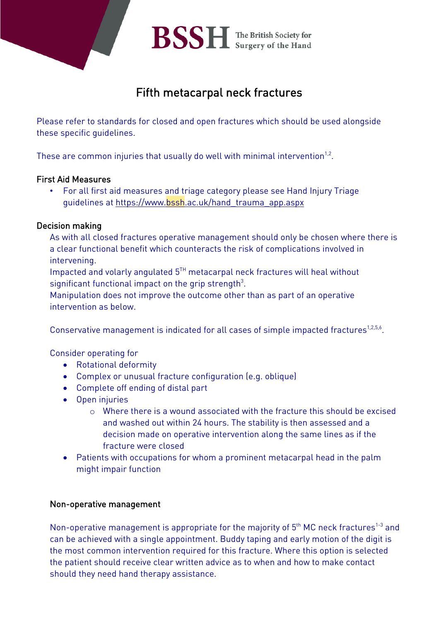

## Fifth metacarpal neck fractures

Please refer to standards for closed and open fractures which should be used alongside these specific guidelines.

These are common injuries that usually do well with minimal intervention $1.2$ .

#### First Aid Measures

• For all first aid measures and triage category please see Hand Injury Triage guidelines at [https://www.bssh.ac.uk/hand\\_trauma\\_app.aspx](https://www.bssh.ac.uk/hand_trauma_app.aspx)

### Decision making

As with all closed fractures operative management should only be chosen where there is a clear functional benefit which counteracts the risk of complications involved in intervening.

Impacted and volarly angulated  $5<sup>TH</sup>$  metacarpal neck fractures will heal without significant functional impact on the grip strength $^3\!$ .

Manipulation does not improve the outcome other than as part of an operative intervention as below.

Conservative management is indicated for all cases of simple impacted fractures<sup>1,2,5,6</sup>.

Consider operating for

- Rotational deformity
- Complex or unusual fracture configuration (e.g. oblique)
- Complete off ending of distal part
- Open injuries
	- $\circ$  Where there is a wound associated with the fracture this should be excised and washed out within 24 hours. The stability is then assessed and a decision made on operative intervention along the same lines as if the fracture were closed
- Patients with occupations for whom a prominent metacarpal head in the palm might impair function

#### Non-operative management

Non-operative management is appropriate for the majority of  $5<sup>th</sup>$  MC neck fractures<sup>1-3</sup> and can be achieved with a single appointment. Buddy taping and early motion of the digit is the most common intervention required for this fracture. Where this option is selected the patient should receive clear written advice as to when and how to make contact should they need hand therapy assistance.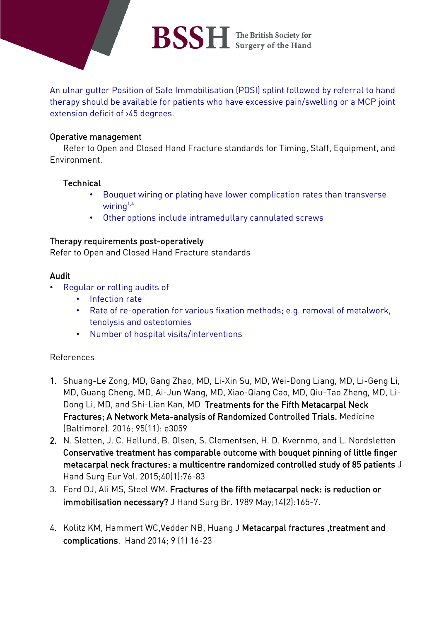# BSSH The British Society for

An ulnar gutter Position of Safe Immobilisation (POSI) splint followed by referral to hand therapy should be available for patients who have excessive pain/swelling or a MCP joint extension deficit of >45 degrees.

#### Operative management

Refer to Open and Closed Hand Fracture standards for Timing, Staff, Equipment, and Environment.

#### **Technical**

- Bouquet wiring or plating have lower complication rates than transverse wiring $1,4$
- Other options include intramedullary cannulated screws

#### Therapy requirements post-operatively

Refer to Open and Closed Hand Fracture standards

#### Audit

- Regular or rolling audits of
	- Infection rate
	- Rate of re-operation for various fixation methods; e.g. removal of metalwork, tenolysis and osteotomies
	- Number of hospital visits/interventions

#### References

- 1. Shuang-Le Zong, MD, Gang Zhao, MD, Li-Xin Su, MD, Wei-Dong Liang, MD, Li-Geng Li, MD, Guang Cheng, MD, Ai-Jun Wang, MD, Xiao-Qiang Cao, MD, Qiu-Tao Zheng, MD, Li-Dong Li, MD, and Shi-Lian Kan, MD Treatments for the Fifth Metacarpal Neck Fractures; A Network Meta-analysis of Randomized Controlled Trials. Medicine (Baltimore). 2016; 95(11): e3059
- 2. N. Sletten, J. C. Hellund, B. Olsen, S. Clementsen, H. D. Kvernmo, and L. Nordsletten Conservative treatment has comparable outcome with bouquet pinning of little finger metacarpal neck fractures: a multicentre randomized controlled study of 85 patients J Hand Surg Eur Vol. 2015;40(1):76-83
- 3. Ford DJ, Ali MS, Steel WM. Fractures of the fifth metacarpal neck: is reduction or immobilisation necessary? J Hand Surg Br. 1989 May;14(2):165-7.
- 4. Kolitz KM, Hammert WC,Vedder NB, Huang J Metacarpal fractures ,treatment and complications. Hand 2014; 9 (1) 16-23